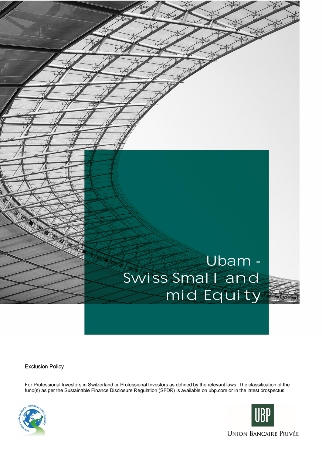## Ubam - Swiss Small and mid Equity

Exclusion Policy

For Professional Investors in Switzerland or Professional Investors as defined by the relevant laws. The classification of the fund(s) as per the Sustainable Finance Disclosure Regulation (SFDR) is available on ubp.com or in the latest prospectus.



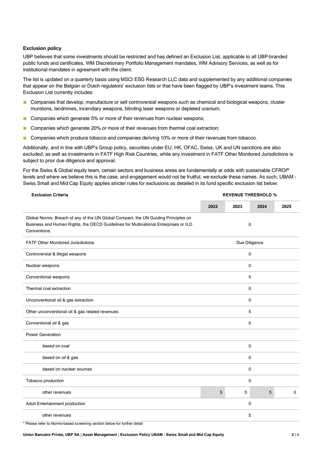## **Exclusion policy**

UBP believes that some investments should be restricted and has defined an Exclusion List, applicable to all UBP-branded public funds and certificates, WM Discretionary Portfolio Management mandates, WM Advisory Services, as well as for institutional mandates in agreement with the client.

The list is updated on a quarterly basis using MSCI ESG Research LLC data and supplemented by any additional companies that appear on the Belgian or Dutch regulators' exclusion lists or that have been flagged by UBP's investment teams. This Exclusion List currently includes:

- Companies that develop, manufacture or sell controversial weapons such as chemical and biological weapons, cluster munitions, landmines, incendiary weapons, blinding laser weapons or depleted uranium;
- Companies which generate 5% or more of their revenues from nuclear weapons:
- Companies which generate 20% or more of their revenues from thermal coal extraction;
- Companies which produce tobacco and companies deriving 10% or more of their revenues from tobacco.

Additionally, and in line with UBP's Group policy, securities under EU, HK, OFAC, Swiss, UK and UN sanctions are also excluded, as well as investments in FATF High Risk Countries, while any investment in FATF Other Monitored Jurisdictions is subject to prior due diligence and approval.

For the Swiss & Global equity team, certain sectors and business areas are fundamentally at odds with sustainable CFROI<sup>®</sup> levels and where we believe this is the case, and engagement would not be fruitful, we exclude these names. As such, UBAM - Swiss Small and Mid Cap Equity applies stricter rules for exclusions as detailed in its fund specific exclusion list below:

| <b>Exclusion Criteria</b>                                                                                                                                                                 | <b>REVENUE THRESHOLD %</b> |      |             |             |
|-------------------------------------------------------------------------------------------------------------------------------------------------------------------------------------------|----------------------------|------|-------------|-------------|
|                                                                                                                                                                                           | 2022                       | 2023 | 2024        | 2025        |
| Global Norms: Breach of any of the UN Global Compact, the UN Guiding Principles on<br>Business and Human Rights, the OECD Guidelines for Multinational Enterprises or ILO<br>Conventions. | $\mathbf 0$                |      |             |             |
| <b>FATF Other Monitored Jurisdictions</b>                                                                                                                                                 | Due Diligence              |      |             |             |
| Controversial & illegal weapons                                                                                                                                                           | 0                          |      |             |             |
| Nuclear weapons                                                                                                                                                                           | 0                          |      |             |             |
| Conventional weapons                                                                                                                                                                      | 5                          |      |             |             |
| Thermal coal extraction                                                                                                                                                                   |                            |      | $\mathbf 0$ |             |
| Unconventional oil & gas extraction                                                                                                                                                       |                            |      | $\mathbf 0$ |             |
| Other unconventional oil & gas related revenues                                                                                                                                           |                            |      | 5           |             |
| Conventional oil & gas                                                                                                                                                                    |                            |      | 5           |             |
| <b>Power Generation</b>                                                                                                                                                                   |                            |      |             |             |
| based on coal                                                                                                                                                                             | 0                          |      |             |             |
| based on oil & gas                                                                                                                                                                        |                            |      | $\mathbf 0$ |             |
| based on nuclear sources                                                                                                                                                                  | $\mathbf 0$                |      |             |             |
| Tobacco production                                                                                                                                                                        |                            |      | $\mathbf 0$ |             |
| other revenues                                                                                                                                                                            | 5                          | 5    | 5           | $\mathbf 0$ |
| Adult Entertainment production                                                                                                                                                            |                            |      | $\mathbf 0$ |             |
| other revenues                                                                                                                                                                            |                            |      | 5           |             |

\* Please refer to Norms-based screening section below for further detail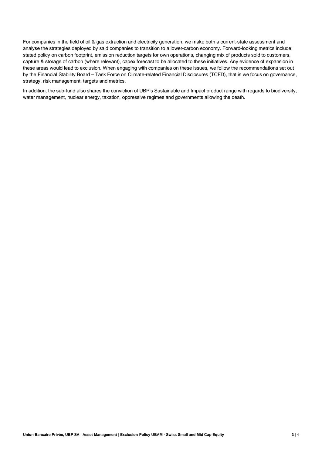For companies in the field of oil & gas extraction and electricity generation, we make both a current-state assessment and analyse the strategies deployed by said companies to transition to a lower-carbon economy. Forward-looking metrics include; stated policy on carbon footprint, emission reduction targets for own operations, changing mix of products sold to customers, capture & storage of carbon (where relevant), capex forecast to be allocated to these initiatives. Any evidence of expansion in these areas would lead to exclusion. When engaging with companies on these issues, we follow the recommendations set out by the Financial Stability Board – Task Force on Climate-related Financial Disclosures (TCFD), that is we focus on governance, strategy, risk management, targets and metrics.

In addition, the sub-fund also shares the conviction of UBP's Sustainable and Impact product range with regards to biodiversity, water management, nuclear energy, taxation, oppressive regimes and governments allowing the death.